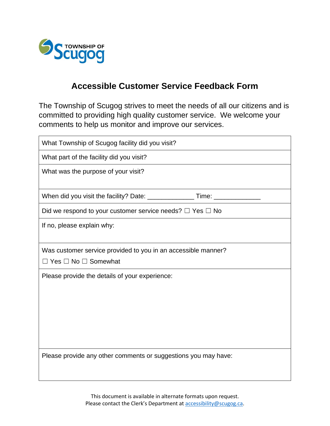

## **Accessible Customer Service Feedback Form**

The Township of Scugog strives to meet the needs of all our citizens and is committed to providing high quality customer service. We welcome your comments to help us monitor and improve our services.

| What Township of Scugog facility did you visit?                                  |  |  |
|----------------------------------------------------------------------------------|--|--|
| What part of the facility did you visit?                                         |  |  |
| What was the purpose of your visit?                                              |  |  |
|                                                                                  |  |  |
| When did you visit the facility? Date: __________________Time: _________________ |  |  |
| Did we respond to your customer service needs? $\Box$ Yes $\Box$ No              |  |  |
| If no, please explain why:                                                       |  |  |
|                                                                                  |  |  |
| Was customer service provided to you in an accessible manner?                    |  |  |
| $\Box$ Yes $\Box$ No $\Box$ Somewhat                                             |  |  |
| Please provide the details of your experience:                                   |  |  |
|                                                                                  |  |  |
|                                                                                  |  |  |
|                                                                                  |  |  |
|                                                                                  |  |  |
|                                                                                  |  |  |
| Please provide any other comments or suggestions you may have:                   |  |  |
|                                                                                  |  |  |
|                                                                                  |  |  |